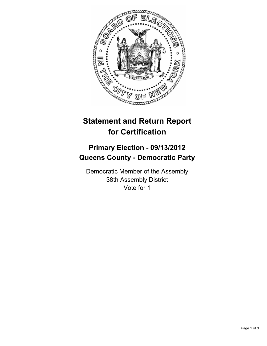

## **Statement and Return Report for Certification**

## **Primary Election - 09/13/2012 Queens County - Democratic Party**

Democratic Member of the Assembly 38th Assembly District Vote for 1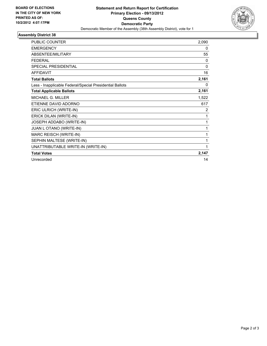

## **Assembly District 38**

| PUBLIC COUNTER                                           | 2,090 |
|----------------------------------------------------------|-------|
| <b>EMERGENCY</b>                                         | 0     |
| <b>ABSENTEE/MILITARY</b>                                 | 55    |
| <b>FEDERAL</b>                                           | 0     |
| SPECIAL PRESIDENTIAL                                     | 0     |
| <b>AFFIDAVIT</b>                                         | 16    |
| <b>Total Ballots</b>                                     | 2,161 |
| Less - Inapplicable Federal/Special Presidential Ballots | 0     |
| <b>Total Applicable Ballots</b>                          | 2,161 |
| <b>MICHAEL G. MILLER</b>                                 | 1,522 |
| ETIENNE DAVID ADORNO                                     | 617   |
| ERIC ULRICH (WRITE-IN)                                   | 2     |
| ERICK DILAN (WRITE-IN)                                   | 1     |
| JOSEPH ADDABO (WRITE-IN)                                 | 1     |
| JUAN L OTANO (WRITE-IN)                                  | 1     |
| MARC REISCH (WRITE-IN)                                   | 1     |
| SEPHIN MALTESE (WRITE-IN)                                | 1     |
| UNATTRIBUTABLE WRITE-IN (WRITE-IN)                       | 1     |
| <b>Total Votes</b>                                       | 2,147 |
| Unrecorded                                               | 14    |